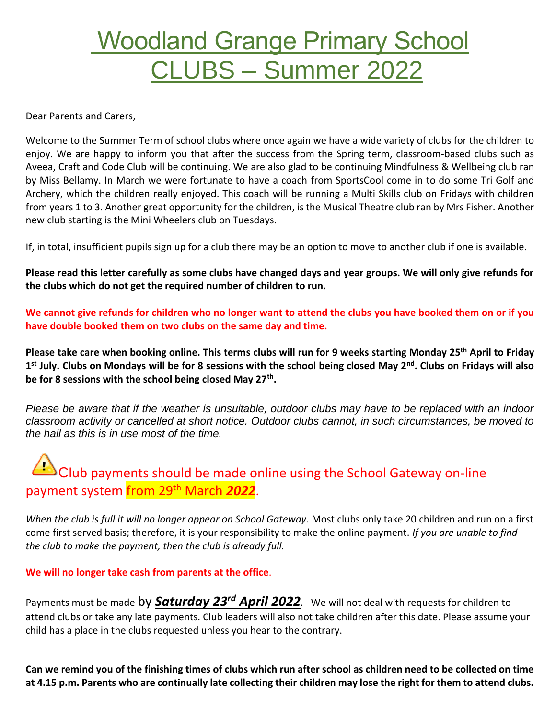## Woodland Grange Primary School CLUBS – Summer 2022

Dear Parents and Carers,

Welcome to the Summer Term of school clubs where once again we have a wide variety of clubs for the children to enjoy. We are happy to inform you that after the success from the Spring term, classroom-based clubs such as Aveea, Craft and Code Club will be continuing. We are also glad to be continuing Mindfulness & Wellbeing club ran by Miss Bellamy. In March we were fortunate to have a coach from SportsCool come in to do some Tri Golf and Archery, which the children really enjoyed. This coach will be running a Multi Skills club on Fridays with children from years 1 to 3. Another great opportunity for the children, is the Musical Theatre club ran by Mrs Fisher. Another new club starting is the Mini Wheelers club on Tuesdays.

If, in total, insufficient pupils sign up for a club there may be an option to move to another club if one is available.

**Please read this letter carefully as some clubs have changed days and year groups. We will only give refunds for the clubs which do not get the required number of children to run.** 

**We cannot give refunds for children who no longer want to attend the clubs you have booked them on or if you have double booked them on two clubs on the same day and time.**

**Please take care when booking online. This terms clubs will run for 9 weeks starting Monday 25th April to Friday 1 st July. Clubs on Mondays will be for 8 sessions with the school being closed May 2nd. Clubs on Fridays will also be for 8 sessions with the school being closed May 27th .**

*Please be aware that if the weather is unsuitable, outdoor clubs may have to be replaced with an indoor classroom activity or cancelled at short notice. Outdoor clubs cannot, in such circumstances, be moved to the hall as this is in use most of the time.*

## $\bigtriangleup$  Club payments should be made online using the School Gateway on-line payment system from 29 th March *2022*.

When the club is full it will no longer appear on School Gateway. Most clubs only take 20 children and run on a first come first served basis; therefore, it is your responsibility to make the online payment. *If you are unable to find the club to make the payment, then the club is already full.*

## **We will no longer take cash from parents at the office**.

Payments must be made  $\tt by$  *Saturday 23<sup>rd</sup> April 2022*. We will not deal with requests for children to attend clubs or take any late payments. Club leaders will also not take children after this date. Please assume your child has a place in the clubs requested unless you hear to the contrary.

**Can we remind you of the finishing times of clubs which run after school as children need to be collected on time at 4.15 p.m. Parents who are continually late collecting their children may lose the right for them to attend clubs.**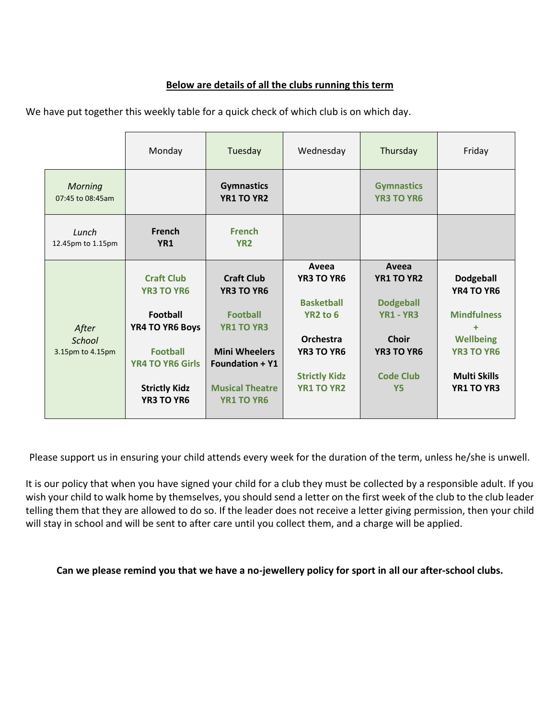## **Below are details of all the clubs running this term**

We have put together this weekly table for a quick check of which club is on which day.

|                                     | Monday                                                                                                                                                           | Tuesday                                                                                                                                                                         | Wednesday                                                                                                                                              | Thursday                                                                                                                   | Friday                                                                                                                                         |
|-------------------------------------|------------------------------------------------------------------------------------------------------------------------------------------------------------------|---------------------------------------------------------------------------------------------------------------------------------------------------------------------------------|--------------------------------------------------------------------------------------------------------------------------------------------------------|----------------------------------------------------------------------------------------------------------------------------|------------------------------------------------------------------------------------------------------------------------------------------------|
| <b>Morning</b><br>07:45 to 08:45am  |                                                                                                                                                                  | <b>Gymnastics</b><br><b>YR1 TO YR2</b>                                                                                                                                          |                                                                                                                                                        | <b>Gymnastics</b><br><b>YR3 TO YR6</b>                                                                                     |                                                                                                                                                |
| Lunch<br>12.45pm to 1.15pm          | French<br>YR <sub>1</sub>                                                                                                                                        | <b>French</b><br>YR <sub>2</sub>                                                                                                                                                |                                                                                                                                                        |                                                                                                                            |                                                                                                                                                |
| After<br>School<br>3.15pm to 4.15pm | <b>Craft Club</b><br><b>YR3 TO YR6</b><br><b>Football</b><br>YR4 TO YR6 Boys<br><b>Football</b><br><b>YR4 TO YR6 Girls</b><br><b>Strictly Kidz</b><br>YR3 TO YR6 | <b>Craft Club</b><br><b>YR3 TO YR6</b><br><b>Football</b><br><b>YR1 TO YR3</b><br><b>Mini Wheelers</b><br><b>Foundation + Y1</b><br><b>Musical Theatre</b><br><b>YR1 TO YR6</b> | Aveea<br><b>YR3 TO YR6</b><br><b>Basketball</b><br>YR <sub>2</sub> to 6<br>Orchestra<br><b>YR3 TO YR6</b><br><b>Strictly Kidz</b><br><b>YR1 TO YR2</b> | Aveea<br>YR1 TO YR2<br><b>Dodgeball</b><br><b>YR1 - YR3</b><br>Choir<br><b>YR3 TO YR6</b><br><b>Code Club</b><br><b>Y5</b> | <b>Dodgeball</b><br>YR4 TO YR6<br><b>Mindfulness</b><br>÷<br><b>Wellbeing</b><br><b>YR3 TO YR6</b><br><b>Multi Skills</b><br><b>YR1 TO YR3</b> |

Please support us in ensuring your child attends every week for the duration of the term, unless he/she is unwell.

It is our policy that when you have signed your child for a club they must be collected by a responsible adult. If you wish your child to walk home by themselves, you should send a letter on the first week of the club to the club leader telling them that they are allowed to do so. If the leader does not receive a letter giving permission, then your child will stay in school and will be sent to after care until you collect them, and a charge will be applied.

**Can we please remind you that we have a no-jewellery policy for sport in all our after-school clubs.**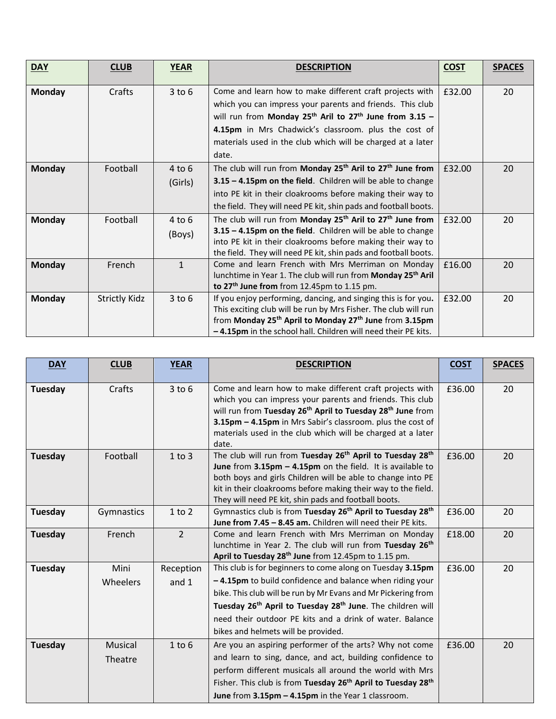| <b>DAY</b>    | <b>CLUB</b>          | <b>YEAR</b>  | <b>DESCRIPTION</b>                                                                | <b>COST</b> | <b>SPACES</b> |
|---------------|----------------------|--------------|-----------------------------------------------------------------------------------|-------------|---------------|
|               |                      |              |                                                                                   |             |               |
| <b>Monday</b> | Crafts               | $3$ to $6$   | Come and learn how to make different craft projects with                          | £32.00      | 20            |
|               |                      |              | which you can impress your parents and friends. This club                         |             |               |
|               |                      |              | will run from Monday $25^{th}$ Aril to $27^{th}$ June from 3.15 -                 |             |               |
|               |                      |              | 4.15pm in Mrs Chadwick's classroom. plus the cost of                              |             |               |
|               |                      |              | materials used in the club which will be charged at a later                       |             |               |
|               |                      |              | date.                                                                             |             |               |
| <b>Monday</b> | Football             | $4$ to $6$   | The club will run from Monday 25 <sup>th</sup> Aril to 27 <sup>th</sup> June from | £32.00      | 20            |
|               |                      | (Girls)      | 3.15 - 4.15pm on the field. Children will be able to change                       |             |               |
|               |                      |              | into PE kit in their cloakrooms before making their way to                        |             |               |
|               |                      |              | the field. They will need PE kit, shin pads and football boots.                   |             |               |
| <b>Monday</b> | Football             | $4$ to $6$   | The club will run from Monday 25 <sup>th</sup> Aril to 27 <sup>th</sup> June from | £32.00      | 20            |
|               |                      | (Boys)       | 3.15 - 4.15pm on the field. Children will be able to change                       |             |               |
|               |                      |              | into PE kit in their cloakrooms before making their way to                        |             |               |
|               |                      |              | the field. They will need PE kit, shin pads and football boots.                   |             |               |
| <b>Monday</b> | French               | $\mathbf{1}$ | Come and learn French with Mrs Merriman on Monday                                 | £16.00      | 20            |
|               |                      |              | lunchtime in Year 1. The club will run from Monday 25 <sup>th</sup> Aril          |             |               |
|               |                      |              | to 27 <sup>th</sup> June from from 12.45pm to 1.15 pm.                            |             |               |
| Monday        | <b>Strictly Kidz</b> | $3$ to $6$   | If you enjoy performing, dancing, and singing this is for you.                    | £32.00      | 20            |
|               |                      |              | This exciting club will be run by Mrs Fisher. The club will run                   |             |               |
|               |                      |              | from Monday 25 <sup>th</sup> April to Monday 27 <sup>th</sup> June from 3.15pm    |             |               |
|               |                      |              | -4.15pm in the school hall. Children will need their PE kits.                     |             |               |

| <b>DAY</b> | <b>CLUB</b>        | <b>YEAR</b>        | <b>DESCRIPTION</b>                                                                                                                                                                                                                                                                                                                                                               | <b>COST</b> | <b>SPACES</b> |
|------------|--------------------|--------------------|----------------------------------------------------------------------------------------------------------------------------------------------------------------------------------------------------------------------------------------------------------------------------------------------------------------------------------------------------------------------------------|-------------|---------------|
| Tuesday    | Crafts             | $3$ to $6$         | Come and learn how to make different craft projects with<br>which you can impress your parents and friends. This club<br>will run from Tuesday 26 <sup>th</sup> April to Tuesday 28 <sup>th</sup> June from<br>3.15pm - 4.15pm in Mrs Sabir's classroom. plus the cost of<br>materials used in the club which will be charged at a later<br>date.                                | £36.00      | 20            |
| Tuesday    | Football           | $1$ to $3$         | The club will run from Tuesday 26 <sup>th</sup> April to Tuesday 28 <sup>th</sup><br>June from 3.15pm - 4.15pm on the field. It is available to<br>both boys and girls Children will be able to change into PE<br>kit in their cloakrooms before making their way to the field.<br>They will need PE kit, shin pads and football boots.                                          | £36.00      | 20            |
| Tuesday    | Gymnastics         | $1$ to $2$         | Gymnastics club is from Tuesday 26 <sup>th</sup> April to Tuesday 28 <sup>th</sup><br>June from 7.45 - 8.45 am. Children will need their PE kits.                                                                                                                                                                                                                                | £36.00      | 20            |
| Tuesday    | French             | $\overline{2}$     | Come and learn French with Mrs Merriman on Monday<br>lunchtime in Year 2. The club will run from Tuesday 26th<br>April to Tuesday 28 <sup>th</sup> June from 12.45pm to 1.15 pm.                                                                                                                                                                                                 | £18.00      | 20            |
| Tuesday    | Mini<br>Wheelers   | Reception<br>and 1 | This club is for beginners to come along on Tuesday 3.15pm<br>-4.15pm to build confidence and balance when riding your<br>bike. This club will be run by Mr Evans and Mr Pickering from<br>Tuesday 26 <sup>th</sup> April to Tuesday 28 <sup>th</sup> June. The children will<br>need their outdoor PE kits and a drink of water. Balance<br>bikes and helmets will be provided. | £36.00      | 20            |
| Tuesday    | Musical<br>Theatre | $1$ to $6$         | Are you an aspiring performer of the arts? Why not come<br>and learn to sing, dance, and act, building confidence to<br>perform different musicals all around the world with Mrs<br>Fisher. This club is from Tuesday 26 <sup>th</sup> April to Tuesday 28 <sup>th</sup><br>June from 3.15pm - 4.15pm in the Year 1 classroom.                                                   | £36.00      | 20            |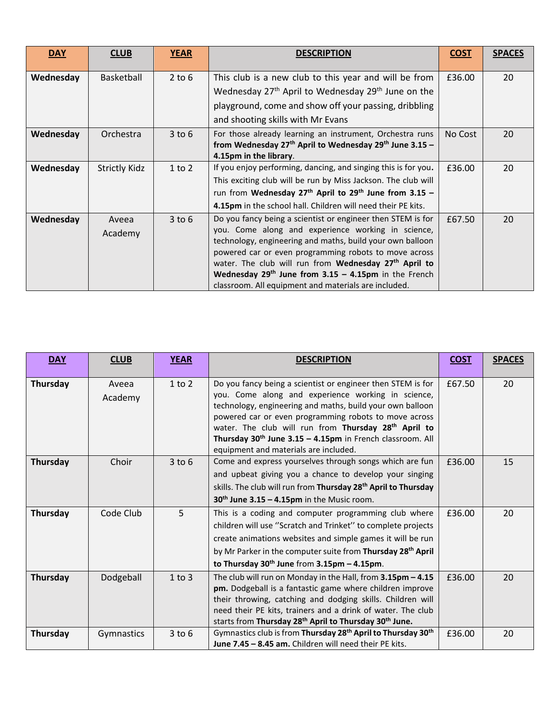| <b>DAY</b> | <b>CLUB</b>          | <b>YEAR</b> | <b>DESCRIPTION</b>                                                             | <b>COST</b> | <b>SPACES</b> |
|------------|----------------------|-------------|--------------------------------------------------------------------------------|-------------|---------------|
| Wednesday  | Basketball           | $2$ to $6$  | This club is a new club to this year and will be from                          | £36.00      | 20            |
|            |                      |             | Wednesday 27 <sup>th</sup> April to Wednesday 29 <sup>th</sup> June on the     |             |               |
|            |                      |             | playground, come and show off your passing, dribbling                          |             |               |
|            |                      |             | and shooting skills with Mr Evans                                              |             |               |
| Wednesday  | Orchestra            | $3$ to $6$  | For those already learning an instrument, Orchestra runs                       | No Cost     | 20            |
|            |                      |             | from Wednesday $27th$ April to Wednesday $29th$ June 3.15 -                    |             |               |
|            |                      |             | 4.15pm in the library.                                                         |             |               |
| Wednesday  | <b>Strictly Kidz</b> | $1$ to $2$  | If you enjoy performing, dancing, and singing this is for you.                 | £36.00      | 20            |
|            |                      |             | This exciting club will be run by Miss Jackson. The club will                  |             |               |
|            |                      |             | run from Wednesday 27 <sup>th</sup> April to 29 <sup>th</sup> June from 3.15 - |             |               |
|            |                      |             | 4.15pm in the school hall. Children will need their PE kits.                   |             |               |
| Wednesday  | Aveea                | $3$ to $6$  | Do you fancy being a scientist or engineer then STEM is for                    | £67.50      | 20            |
|            | Academy              |             | you. Come along and experience working in science,                             |             |               |
|            |                      |             | technology, engineering and maths, build your own balloon                      |             |               |
|            |                      |             | powered car or even programming robots to move across                          |             |               |
|            |                      |             | water. The club will run from Wednesday 27 <sup>th</sup> April to              |             |               |
|            |                      |             | Wednesday $29th$ June from 3.15 - 4.15pm in the French                         |             |               |
|            |                      |             | classroom. All equipment and materials are included.                           |             |               |

| <b>DAY</b> | <b>CLUB</b> | <b>YEAR</b> | <b>DESCRIPTION</b>                                                                   | <b>COST</b> | <b>SPACES</b> |
|------------|-------------|-------------|--------------------------------------------------------------------------------------|-------------|---------------|
|            |             |             |                                                                                      |             |               |
| Thursday   | Aveea       | $1$ to $2$  | Do you fancy being a scientist or engineer then STEM is for                          | £67.50      | 20            |
|            | Academy     |             | you. Come along and experience working in science,                                   |             |               |
|            |             |             | technology, engineering and maths, build your own balloon                            |             |               |
|            |             |             | powered car or even programming robots to move across                                |             |               |
|            |             |             | water. The club will run from Thursday 28 <sup>th</sup> April to                     |             |               |
|            |             |             | Thursday $30th$ June $3.15 - 4.15$ pm in French classroom. All                       |             |               |
|            |             |             | equipment and materials are included.                                                |             |               |
| Thursday   | Choir       | $3$ to $6$  | Come and express yourselves through songs which are fun                              | £36.00      | 15            |
|            |             |             | and upbeat giving you a chance to develop your singing                               |             |               |
|            |             |             | skills. The club will run from Thursday 28 <sup>th</sup> April to Thursday           |             |               |
|            |             |             | $30th$ June 3.15 – 4.15pm in the Music room.                                         |             |               |
| Thursday   | Code Club   | 5           | This is a coding and computer programming club where                                 | £36.00      | 20            |
|            |             |             | children will use "Scratch and Trinket" to complete projects                         |             |               |
|            |             |             | create animations websites and simple games it will be run                           |             |               |
|            |             |             | by Mr Parker in the computer suite from Thursday 28 <sup>th</sup> April              |             |               |
|            |             |             | to Thursday $30th$ June from $3.15$ pm - $4.15$ pm.                                  |             |               |
| Thursday   | Dodgeball   | $1$ to $3$  | The club will run on Monday in the Hall, from $3.15$ pm $-4.15$                      | £36.00      | 20            |
|            |             |             | pm. Dodgeball is a fantastic game where children improve                             |             |               |
|            |             |             | their throwing, catching and dodging skills. Children will                           |             |               |
|            |             |             | need their PE kits, trainers and a drink of water. The club                          |             |               |
|            |             |             | starts from Thursday 28 <sup>th</sup> April to Thursday 30 <sup>th</sup> June.       |             |               |
| Thursday   | Gymnastics  | $3$ to $6$  | Gymnastics club is from Thursday 28 <sup>th</sup> April to Thursday 30 <sup>th</sup> | £36.00      | 20            |
|            |             |             | June 7.45 - 8.45 am. Children will need their PE kits.                               |             |               |